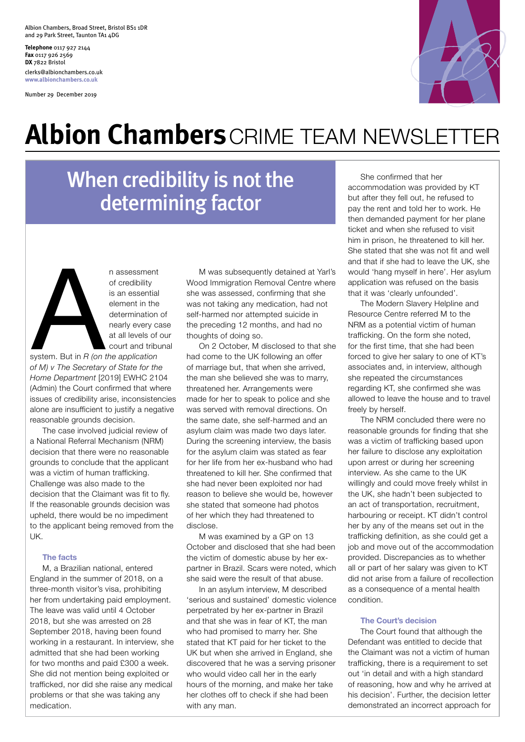Albion Chambers, Broad Street, Bristol BS1 1DR and 29 Park Street, Taunton TA1 4DG

**Telephone** 0117 927 2144 **Fax** 0117 926 2569 **DX** 7822 Bristol clerks@albionchambers.co.uk **www.albionchambers.co.uk**

Number 29 December 2019



## **Albion Chambers**CRIME TEAM NEWSLETTER

## When credibility is not the determining factor



n assessment of credibility is an essential element in the determination of nearly every case at all levels of our court and tribunal

system. But in *R (on the application of M) v The Secretary of State for the Home Department* [2019] EWHC 2104 (Admin) the Court confirmed that where issues of credibility arise, inconsistencies alone are insufficient to justify a negative reasonable grounds decision.

The case involved judicial review of a National Referral Mechanism (NRM) decision that there were no reasonable grounds to conclude that the applicant was a victim of human trafficking. Challenge was also made to the decision that the Claimant was fit to fly. If the reasonable grounds decision was upheld, there would be no impediment to the applicant being removed from the UK.

#### **The facts**

M, a Brazilian national, entered England in the summer of 2018, on a three-month visitor's visa, prohibiting her from undertaking paid employment. The leave was valid until 4 October 2018, but she was arrested on 28 September 2018, having been found working in a restaurant. In interview, she admitted that she had been working for two months and paid £300 a week. She did not mention being exploited or trafficked, nor did she raise any medical problems or that she was taking any medication.

M was subsequently detained at Yarl's Wood Immigration Removal Centre where she was assessed, confirming that she was not taking any medication, had not self-harmed nor attempted suicide in the preceding 12 months, and had no thoughts of doing so.

On 2 October, M disclosed to that she had come to the UK following an offer of marriage but, that when she arrived, the man she believed she was to marry, threatened her. Arrangements were made for her to speak to police and she was served with removal directions. On the same date, she self-harmed and an asylum claim was made two days later. During the screening interview, the basis for the asylum claim was stated as fear for her life from her ex-husband who had threatened to kill her. She confirmed that she had never been exploited nor had reason to believe she would be, however she stated that someone had photos of her which they had threatened to disclose.

M was examined by a GP on 13 October and disclosed that she had been the victim of domestic abuse by her expartner in Brazil. Scars were noted, which she said were the result of that abuse.

In an asylum interview, M described 'serious and sustained' domestic violence perpetrated by her ex-partner in Brazil and that she was in fear of KT, the man who had promised to marry her. She stated that KT paid for her ticket to the UK but when she arrived in England, she discovered that he was a serving prisoner who would video call her in the early hours of the morning, and make her take her clothes off to check if she had been with any man.

She confirmed that her accommodation was provided by KT but after they fell out, he refused to pay the rent and told her to work. He then demanded payment for her plane ticket and when she refused to visit him in prison, he threatened to kill her. She stated that she was not fit and well and that if she had to leave the UK, she would 'hang myself in here'. Her asylum application was refused on the basis that it was 'clearly unfounded'.

The Modern Slavery Helpline and Resource Centre referred M to the NRM as a potential victim of human trafficking. On the form she noted, for the first time, that she had been forced to give her salary to one of KT's associates and, in interview, although she repeated the circumstances regarding KT, she confirmed she was allowed to leave the house and to travel freely by herself.

The NRM concluded there were no reasonable grounds for finding that she was a victim of trafficking based upon her failure to disclose any exploitation upon arrest or during her screening interview. As she came to the UK willingly and could move freely whilst in the UK, she hadn't been subjected to an act of transportation, recruitment, harbouring or receipt. KT didn't control her by any of the means set out in the trafficking definition, as she could get a job and move out of the accommodation provided. Discrepancies as to whether all or part of her salary was given to KT did not arise from a failure of recollection as a consequence of a mental health condition.

#### **The Court's decision**

The Court found that although the Defendant was entitled to decide that the Claimant was not a victim of human trafficking, there is a requirement to set out 'in detail and with a high standard of reasoning, how and why he arrived at his decision'. Further, the decision letter demonstrated an incorrect approach for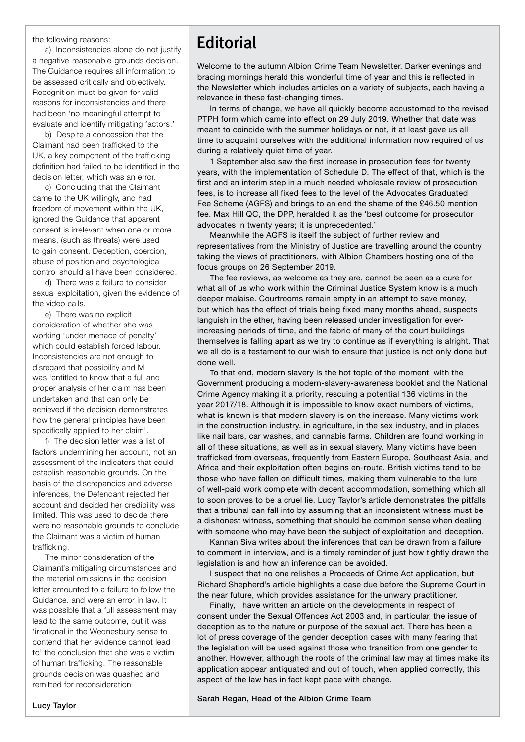the following reasons:

a) Inconsistencies alone do not justify a negative-reasonable-grounds decision. The Guidance requires all information to be assessed critically and objectively. Recognition must be given for valid reasons for inconsistencies and there had been 'no meaningful attempt to evaluate and identify mitigating factors.'

b) Despite a concession that the Claimant had been trafficked to the UK, a key component of the trafficking definition had failed to be identified in the decision letter, which was an error.

c) Concluding that the Claimant came to the UK willingly, and had freedom of movement within the UK, ignored the Guidance that apparent consent is irrelevant when one or more means, (such as threats) were used to gain consent. Deception, coercion, abuse of position and psychological control should all have been considered.

d) There was a failure to consider sexual exploitation, given the evidence of the video calls.

e) There was no explicit consideration of whether she was working 'under menace of penalty' which could establish forced labour. Inconsistencies are not enough to disregard that possibility and M was 'entitled to know that a full and proper analysis of her claim has been undertaken and that can only be achieved if the decision demonstrates how the general principles have been specifically applied to her claim'.

f) The decision letter was a list of factors undermining her account, not an assessment of the indicators that could establish reasonable grounds. On the basis of the discrepancies and adverse inferences, the Defendant rejected her account and decided her credibility was limited. This was used to decide there were no reasonable grounds to conclude the Claimant was a victim of human trafficking.

The minor consideration of the Claimant's mitigating circumstances and the material omissions in the decision letter amounted to a failure to follow the Guidance, and were an error in law. It was possible that a full assessment may lead to the same outcome, but it was 'irrational in the Wednesbury sense to contend that her evidence cannot lead to' the conclusion that she was a victim of human trafficking. The reasonable grounds decision was quashed and remitted for reconsideration

### **Editorial**

Welcome to the autumn Albion Crime Team Newsletter. Darker evenings and bracing mornings herald this wonderful time of year and this is reflected in the Newsletter which includes articles on a variety of subjects, each having a relevance in these fast-changing times.

In terms of change, we have all quickly become accustomed to the revised PTPH form which came into effect on 29 July 2019. Whether that date was meant to coincide with the summer holidays or not, it at least gave us all time to acquaint ourselves with the additional information now required of us during a relatively quiet time of year.

1 September also saw the first increase in prosecution fees for twenty years, with the implementation of Schedule D. The effect of that, which is the first and an interim step in a much needed wholesale review of prosecution fees, is to increase all fixed fees to the level of the Advocates Graduated Fee Scheme (AGFS) and brings to an end the shame of the £46.50 mention fee. Max Hill QC, the DPP, heralded it as the 'best outcome for prosecutor advocates in twenty years; it is unprecedented.'

Meanwhile the AGFS is itself the subject of further review and representatives from the Ministry of Justice are travelling around the country taking the views of practitioners, with Albion Chambers hosting one of the focus groups on 26 September 2019.

The fee reviews, as welcome as they are, cannot be seen as a cure for what all of us who work within the Criminal Justice System know is a much deeper malaise. Courtrooms remain empty in an attempt to save money, but which has the effect of trials being fixed many months ahead, suspects languish in the ether, having been released under investigation for everincreasing periods of time, and the fabric of many of the court buildings themselves is falling apart as we try to continue as if everything is alright. That we all do is a testament to our wish to ensure that justice is not only done but done well.

To that end, modern slavery is the hot topic of the moment, with the Government producing a modern-slavery-awareness booklet and the National Crime Agency making it a priority, rescuing a potential 136 victims in the year 2017/18. Although it is impossible to know exact numbers of victims, what is known is that modern slavery is on the increase. Many victims work in the construction industry, in agriculture, in the sex industry, and in places like nail bars, car washes, and cannabis farms. Children are found working in all of these situations, as well as in sexual slavery. Many victims have been trafficked from overseas, frequently from Eastern Europe, Southeast Asia, and Africa and their exploitation often begins en-route. British victims tend to be those who have fallen on difficult times, making them vulnerable to the lure of well-paid work complete with decent accommodation, something which all to soon proves to be a cruel lie. Lucy Taylor's article demonstrates the pitfalls that a tribunal can fall into by assuming that an inconsistent witness must be a dishonest witness, something that should be common sense when dealing with someone who may have been the subject of exploitation and deception.

Kannan Siva writes about the inferences that can be drawn from a failure to comment in interview, and is a timely reminder of just how tightly drawn the legislation is and how an inference can be avoided.

I suspect that no one relishes a Proceeds of Crime Act application, but Richard Shepherd's article highlights a case due before the Supreme Court in the near future, which provides assistance for the unwary practitioner.

Finally, I have written an article on the developments in respect of consent under the Sexual Offences Act 2003 and, in particular, the issue of deception as to the nature or purpose of the sexual act. There has been a lot of press coverage of the gender deception cases with many fearing that the legislation will be used against those who transition from one gender to another. However, although the roots of the criminal law may at times make its application appear antiquated and out of touch, when applied correctly, this aspect of the law has in fact kept pace with change.

Sarah Regan, Head of the Albion Crime Team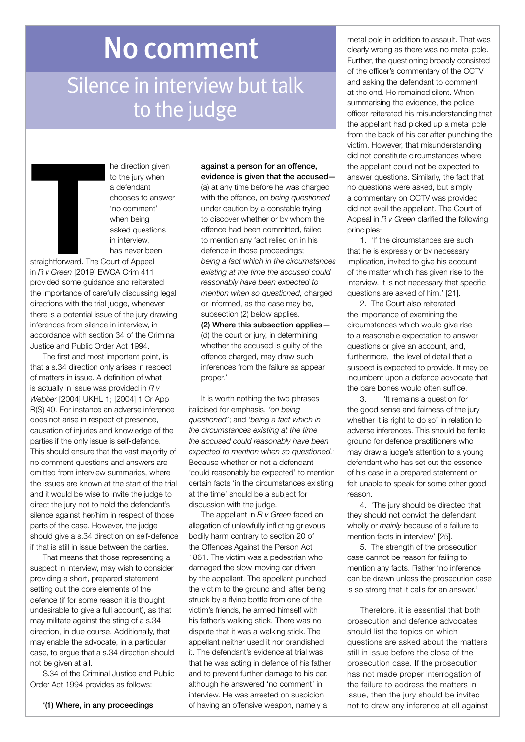# No comment

## Silence in interview but talk to the judge

he direction given to the jury when a defendant chooses to answer 'no comment' when being asked questions in interview, has never been

straightforward. The Court of Appeal in *R v Green* [2019] EWCA Crim 411 provided some guidance and reiterated the importance of carefully discussing legal directions with the trial judge, whenever there is a potential issue of the jury drawing inferences from silence in interview, in accordance with section 34 of the Criminal Justice and Public Order Act 1994. straightforward. The C<br>in *R v Green* [2019] EV<br>provided some guidan

The first and most important point, is that a s.34 direction only arises in respect of matters in issue. A definition of what is actually in issue was provided in *R v Webbe*r [2004] UKHL 1; [2004] 1 Cr App R(S) 40. For instance an adverse inference does not arise in respect of presence, causation of injuries and knowledge of the parties if the only issue is self-defence. This should ensure that the vast majority of no comment questions and answers are omitted from interview summaries, where the issues are known at the start of the trial and it would be wise to invite the judge to direct the jury not to hold the defendant's silence against her/him in respect of those parts of the case. However, the judge should give a s.34 direction on self-defence if that is still in issue between the parties.

That means that those representing a suspect in interview, may wish to consider providing a short, prepared statement setting out the core elements of the defence (if for some reason it is thought undesirable to give a full account), as that may militate against the sting of a s.34 direction, in due course. Additionally, that may enable the advocate, in a particular case, to argue that a s.34 direction should not be given at all.

S.34 of the Criminal Justice and Public Order Act 1994 provides as follows:

evidence is given that the accused— (a) at any time before he was charged with the offence, on *being questioned* under caution by a constable trying to discover whether or by whom the offence had been committed, failed to mention any fact relied on in his defence in those proceedings; *being a fact which in the circumstances existing at the time the accused could reasonably have been expected to mention when so questioned,* charged or informed, as the case may be, subsection (2) below applies. (2) Where this subsection applies— (d) the court or jury, in determining whether the accused is guilty of the offence charged, may draw such inferences from the failure as appear proper.'

against a person for an offence,

It is worth nothing the two phrases italicised for emphasis, *'on being questioned'*; and *'being a fact which in the circumstances existing at the time the accused could reasonably have been expected to mention when so questioned.'* Because whether or not a defendant 'could reasonably be expected' to mention certain facts 'in the circumstances existing at the time' should be a subject for discussion with the judge.

The appellant in *R v Green* faced an allegation of unlawfully inflicting grievous bodily harm contrary to section 20 of the Offences Against the Person Act 1861. The victim was a pedestrian who damaged the slow-moving car driven by the appellant. The appellant punched the victim to the ground and, after being struck by a flying bottle from one of the victim's friends, he armed himself with his father's walking stick. There was no dispute that it was a walking stick. The appellant neither used it nor brandished it. The defendant's evidence at trial was that he was acting in defence of his father and to prevent further damage to his car, although he answered 'no comment' in interview. He was arrested on suspicion of having an offensive weapon, namely a

metal pole in addition to assault. That was clearly wrong as there was no metal pole. Further, the questioning broadly consisted of the officer's commentary of the CCTV and asking the defendant to comment at the end. He remained silent. When summarising the evidence, the police officer reiterated his misunderstanding that the appellant had picked up a metal pole from the back of his car after punching the victim. However, that misunderstanding did not constitute circumstances where the appellant could not be expected to answer questions. Similarly, the fact that no questions were asked, but simply a commentary on CCTV was provided did not avail the appellant. The Court of Appeal in *R v Green* clarified the following principles:

1. 'If the circumstances are such that he is expressly or by necessary implication, invited to give his account of the matter which has given rise to the interview. It is not necessary that specific questions are asked of him.' [21].

2. The Court also reiterated the importance of examining the circumstances which would give rise to a reasonable expectation to answer questions or give an account, and, furthermore, the level of detail that a suspect is expected to provide. It may be incumbent upon a defence advocate that the bare bones would often suffice.

3. 'It remains a question for the good sense and fairness of the jury whether it is right to do so' in relation to adverse inferences. This should be fertile ground for defence practitioners who may draw a judge's attention to a young defendant who has set out the essence of his case in a prepared statement or felt unable to speak for some other good reason.

4. 'The jury should be directed that they should not convict the defendant wholly or *mainly* because of a failure to mention facts in interview' [25].

5. The strength of the prosecution case cannot be reason for failing to mention any facts. Rather 'no inference can be drawn unless the prosecution case is so strong that it calls for an answer.'

Therefore, it is essential that both prosecution and defence advocates should list the topics on which questions are asked about the matters still in issue before the close of the prosecution case. If the prosecution has not made proper interrogation of the failure to address the matters in issue, then the jury should be invited not to draw any inference at all against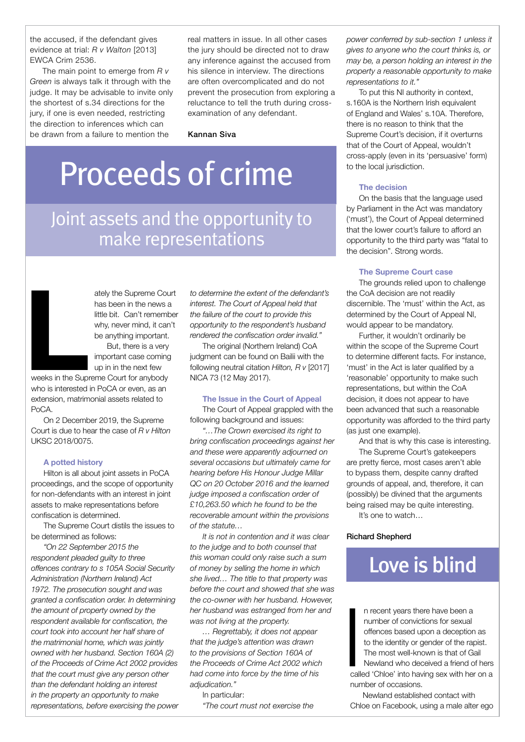the accused, if the defendant gives evidence at trial: *R v Walton* [2013] EWCA Crim 2536.

The main point to emerge from *R v Green* is always talk it through with the judge. It may be advisable to invite only the shortest of s.34 directions for the jury, if one is even needed, restricting the direction to inferences which can be drawn from a failure to mention the

real matters in issue. In all other cases the jury should be directed not to draw any inference against the accused from his silence in interview. The directions are often overcomplicated and do not prevent the prosecution from exploring a reluctance to tell the truth during crossexamination of any defendant.

Kannan Siva

# Proceeds of crime

### Joint assets and the opportunity to make representations

**Later Strategier Strategier Strategier Strategier Strategier Strategier Strategier Strategier Strategier Strategier Strategier Strategier Strategier Strategier Strategier Strategier Strategier Strategier Strategier Strate** 

ately the Supreme Court has been in the news a little bit. Can't remember why, never mind, it can't be anything important.

But, there is a very important case coming up in in the next few

weeks in the Supreme Court for anybody who is interested in PoCA or even, as an extension, matrimonial assets related to PoCA.

On 2 December 2019, the Supreme Court is due to hear the case of *R v Hilton* UKSC 2018/0075.

#### **A potted history**

Hilton is all about joint assets in PoCA proceedings, and the scope of opportunity for non-defendants with an interest in joint assets to make representations before confiscation is determined.

The Supreme Court distils the issues to be determined as follows:

*"On 22 September 2015 the respondent pleaded guilty to three offences contrary to s 105A Social Security Administration (Northern Ireland) Act 1972. The prosecution sought and was granted a confiscation order. In determining the amount of property owned by the respondent available for confiscation, the court took into account her half share of the matrimonial home, which was jointly owned with her husband. Section 160A (2) of the Proceeds of Crime Act 2002 provides that the court must give any person other than the defendant holding an interest in the property an opportunity to make representations, before exercising the power*  *to determine the extent of the defendant's interest. The Court of Appeal held that the failure of the court to provide this opportunity to the respondent's husband rendered the confiscation order invalid."*

The original (Northern Ireland) CoA judgment can be found on Bailii with the following neutral citation *Hilton, R v* [2017] NICA 73 (12 May 2017).

#### **The Issue in the Court of Appeal**

The Court of Appeal grappled with the following background and issues:

*"…The Crown exercised its right to bring confiscation proceedings against her and these were apparently adjourned on several occasions but ultimately came for hearing before His Honour Judge Millar QC on 20 October 2016 and the learned judge imposed a confiscation order of £10,263.50 which he found to be the recoverable amount within the provisions of the statute…*

*It is not in contention and it was clear to the judge and to both counsel that this woman could only raise such a sum of money by selling the home in which she lived… The title to that property was before the court and showed that she was the co-owner with her husband. However, her husband was estranged from her and was not living at the property.*

*… Regrettably, it does not appear that the judge's attention was drawn to the provisions of Section 160A of the Proceeds of Crime Act 2002 which had come into force by the time of his adjudication."*

In particular: *"The court must not exercise the*  *power conferred by sub-section 1 unless it gives to anyone who the court thinks is, or may be, a person holding an interest in the property a reasonable opportunity to make representations to it."*

To put this NI authority in context, s.160A is the Northern Irish equivalent of England and Wales' s.10A. Therefore, there is no reason to think that the Supreme Court's decision, if it overturns that of the Court of Appeal, wouldn't cross-apply (even in its 'persuasive' form) to the local jurisdiction.

#### **The decision**

On the basis that the language used by Parliament in the Act was mandatory ('must'), the Court of Appeal determined that the lower court's failure to afford an opportunity to the third party was "fatal to the decision". Strong words.

#### **The Supreme Court case**

The grounds relied upon to challenge the CoA decision are not readily discernible. The 'must' within the Act, as determined by the Court of Appeal NI, would appear to be mandatory.

Further, it wouldn't ordinarily be within the scope of the Supreme Court to determine different facts. For instance, 'must' in the Act is later qualified by a 'reasonable' opportunity to make such representations, but within the CoA decision, it does not appear to have been advanced that such a reasonable opportunity was afforded to the third party (as just one example).

And that is why this case is interesting.

The Supreme Court's gatekeepers are pretty fierce, most cases aren't able to bypass them, despite canny drafted grounds of appeal, and, therefore, it can (possibly) be divined that the arguments being raised may be quite interesting.

It's one to watch…

#### Richard Shepherd

### Love is blind

n recent years there have been a number of convictions for sexual offences based upon a deception as to the identity or gender of the rapist. The most well-known is that of Gail Newland who deceived a friend of hers called 'Chloe' into having sex with her on a number of occasions. **Call** 

Newland established contact with Chloe on Facebook, using a male alter ego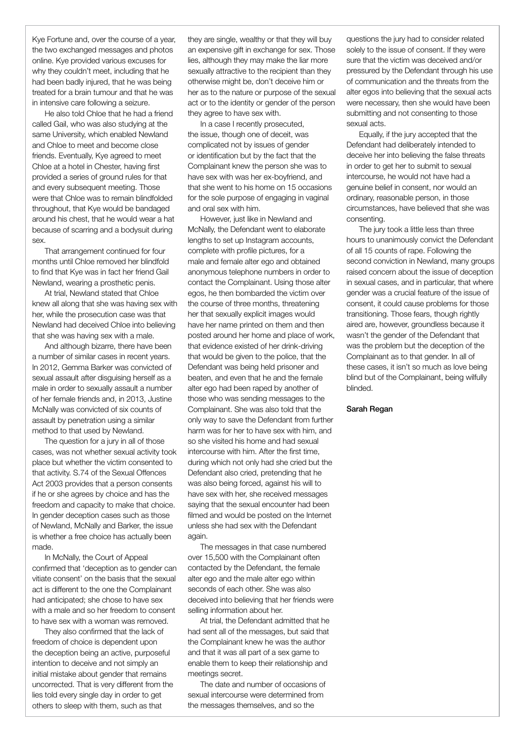Kye Fortune and, over the course of a year, the two exchanged messages and photos online. Kye provided various excuses for why they couldn't meet, including that he had been badly injured, that he was being treated for a brain tumour and that he was in intensive care following a seizure.

He also told Chloe that he had a friend called Gail, who was also studying at the same University, which enabled Newland and Chloe to meet and become close friends. Eventually, Kye agreed to meet Chloe at a hotel in Chester, having first provided a series of ground rules for that and every subsequent meeting. Those were that Chloe was to remain blindfolded throughout, that Kye would be bandaged around his chest, that he would wear a hat because of scarring and a bodysuit during sex.

That arrangement continued for four months until Chloe removed her blindfold to find that Kye was in fact her friend Gail Newland, wearing a prosthetic penis.

At trial, Newland stated that Chloe knew all along that she was having sex with her, while the prosecution case was that Newland had deceived Chloe into believing that she was having sex with a male.

And although bizarre, there have been a number of similar cases in recent years. In 2012, Gemma Barker was convicted of sexual assault after disguising herself as a male in order to sexually assault a number of her female friends and, in 2013, Justine McNally was convicted of six counts of assault by penetration using a similar method to that used by Newland.

The question for a jury in all of those cases, was not whether sexual activity took place but whether the victim consented to that activity. S.74 of the Sexual Offences Act 2003 provides that a person consents if he or she agrees by choice and has the freedom and capacity to make that choice. In gender deception cases such as those of Newland, McNally and Barker, the issue is whether a free choice has actually been made.

In McNally, the Court of Appeal confirmed that 'deception as to gender can vitiate consent' on the basis that the sexual act is different to the one the Complainant had anticipated; she chose to have sex with a male and so her freedom to consent to have sex with a woman was removed.

They also confirmed that the lack of freedom of choice is dependent upon the deception being an active, purposeful intention to deceive and not simply an initial mistake about gender that remains uncorrected. That is very different from the lies told every single day in order to get others to sleep with them, such as that

they are single, wealthy or that they will buy an expensive gift in exchange for sex. Those lies, although they may make the liar more sexually attractive to the recipient than they otherwise might be, don't deceive him or her as to the nature or purpose of the sexual act or to the identity or gender of the person they agree to have sex with.

In a case I recently prosecuted, the issue, though one of deceit, was complicated not by issues of gender or identification but by the fact that the Complainant knew the person she was to have sex with was her ex-boyfriend, and that she went to his home on 15 occasions for the sole purpose of engaging in vaginal and oral sex with him.

However, just like in Newland and McNally, the Defendant went to elaborate lengths to set up Instagram accounts, complete with profile pictures, for a male and female alter ego and obtained anonymous telephone numbers in order to contact the Complainant. Using those alter egos, he then bombarded the victim over the course of three months, threatening her that sexually explicit images would have her name printed on them and then posted around her home and place of work, that evidence existed of her drink-driving that would be given to the police, that the Defendant was being held prisoner and beaten, and even that he and the female alter ego had been raped by another of those who was sending messages to the Complainant. She was also told that the only way to save the Defendant from further harm was for her to have sex with him, and so she visited his home and had sexual intercourse with him. After the first time, during which not only had she cried but the Defendant also cried, pretending that he was also being forced, against his will to have sex with her, she received messages saying that the sexual encounter had been filmed and would be posted on the Internet unless she had sex with the Defendant again.

The messages in that case numbered over 15,500 with the Complainant often contacted by the Defendant, the female alter ego and the male alter ego within seconds of each other. She was also deceived into believing that her friends were selling information about her.

At trial, the Defendant admitted that he had sent all of the messages, but said that the Complainant knew he was the author and that it was all part of a sex game to enable them to keep their relationship and meetings secret.

The date and number of occasions of sexual intercourse were determined from the messages themselves, and so the

questions the jury had to consider related solely to the issue of consent. If they were sure that the victim was deceived and/or pressured by the Defendant through his use of communication and the threats from the alter egos into believing that the sexual acts were necessary, then she would have been submitting and not consenting to those sexual acts.

Equally, if the jury accepted that the Defendant had deliberately intended to deceive her into believing the false threats in order to get her to submit to sexual intercourse, he would not have had a genuine belief in consent, nor would an ordinary, reasonable person, in those circumstances, have believed that she was consenting.

The jury took a little less than three hours to unanimously convict the Defendant of all 15 counts of rape. Following the second conviction in Newland, many groups raised concern about the issue of deception in sexual cases, and in particular, that where gender was a crucial feature of the issue of consent, it could cause problems for those transitioning. Those fears, though rightly aired are, however, groundless because it wasn't the gender of the Defendant that was the problem but the deception of the Complainant as to that gender. In all of these cases, it isn't so much as love being blind but of the Complainant, being wilfully blinded.

#### Sarah Regan